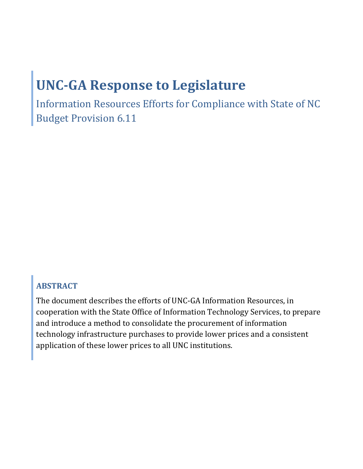# **UNC-GA Response to Legislature**

Information Resources Efforts for Compliance with State of NC Budget Provision 6.11

# **ABSTRACT**

The document describes the efforts of UNC-GA Information Resources, in cooperation with the State Office of Information Technology Services, to prepare and introduce a method to consolidate the procurement of information technology infrastructure purchases to provide lower prices and a consistent application of these lower prices to all UNC institutions.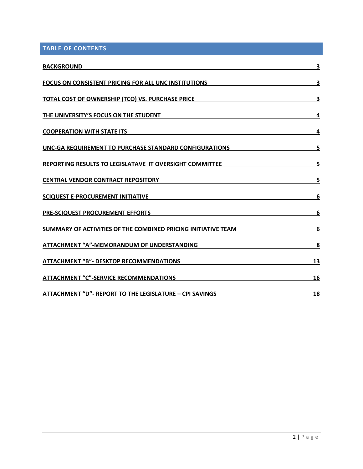**TABLE OF CONTENTS**

| <b>BACKGROUND</b>                                                    | 3  |
|----------------------------------------------------------------------|----|
| <b>FOCUS ON CONSISTENT PRICING FOR ALL UNC INSTITUTIONS</b>          | 3  |
| <b>TOTAL COST OF OWNERSHIP (TCO) VS. PURCHASE PRICE</b>              | 3  |
| THE UNIVERSITY'S FOCUS ON THE STUDENT                                | 4  |
| <b>COOPERATION WITH STATE ITS</b>                                    | 4  |
| UNC-GA REQUIREMENT TO PURCHASE STANDARD CONFIGURATIONS               | 5  |
| <b>REPORTING RESULTS TO LEGISLATAVE IT OVERSIGHT COMMITTEE</b>       | 5  |
| <b>CENTRAL VENDOR CONTRACT REPOSITORY</b>                            | 5  |
| <b>SCIQUEST E-PROCUREMENT INITIATIVE</b>                             | 6  |
| <b>PRE-SCIQUEST PROCUREMENT EFFORTS</b>                              | 6  |
| <b>SUMMARY OF ACTIVITIES OF THE COMBINED PRICING INITIATIVE TEAM</b> | 6  |
| <b>ATTACHMENT "A"-MEMORANDUM OF UNDERSTANDING</b>                    | 8  |
| <b>ATTACHMENT "B"- DESKTOP RECOMMENDATIONS</b>                       | 13 |
| <b>ATTACHMENT "C"-SERVICE RECOMMENDATIONS</b>                        | 16 |
| <b>ATTACHMENT "D"- REPORT TO THE LEGISLATURE - CPI SAVINGS</b>       | 18 |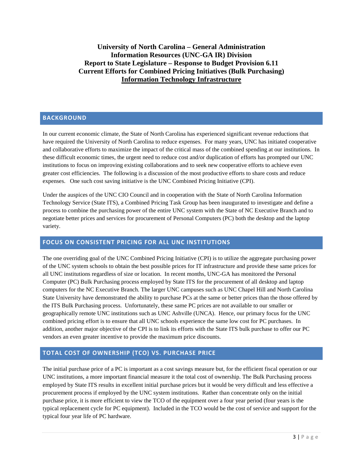**University of North Carolina – General Administration Information Resources (UNC-GA IR) Division Report to State Legislature – Response to Budget Provision 6.11 Current Efforts for Combined Pricing Initiatives (Bulk Purchasing) Information Technology Infrastructure**

## <span id="page-2-0"></span>**BACKGROUND**

In our current economic climate, the State of North Carolina has experienced significant revenue reductions that have required the University of North Carolina to reduce expenses. For many years, UNC has initiated cooperative and collaborative efforts to maximize the impact of the critical mass of the combined spending at our institutions. In these difficult economic times, the urgent need to reduce cost and/or duplication of efforts has prompted our UNC institutions to focus on improving existing collaborations and to seek new cooperative efforts to achieve even greater cost efficiencies. The following is a discussion of the most productive efforts to share costs and reduce expenses. One such cost saving initiative is the UNC Combined Pricing Initiative (CPI).

Under the auspices of the UNC CIO Council and in cooperation with the State of North Carolina Information Technology Service (State ITS), a Combined Pricing Task Group has been inaugurated to investigate and define a process to combine the purchasing power of the entire UNC system with the State of NC Executive Branch and to negotiate better prices and services for procurement of Personal Computers (PC) both the desktop and the laptop variety.

## <span id="page-2-1"></span>**FOCUS ON CONSISTENT PRICING FOR ALL UNC INSTITUTIONS**

The one overriding goal of the UNC Combined Pricing Initiative (CPI) is to utilize the aggregate purchasing power of the UNC system schools to obtain the best possible prices for IT infrastructure and provide these same prices for all UNC institutions regardless of size or location. In recent months, UNC-GA has monitored the Personal Computer (PC) Bulk Purchasing process employed by State ITS for the procurement of all desktop and laptop computers for the NC Executive Branch. The larger UNC campuses such as UNC Chapel Hill and North Carolina State University have demonstrated the ability to purchase PCs at the same or better prices than the those offered by the ITS Bulk Purchasing process. Unfortunately, these same PC prices are not available to our smaller or geographically remote UNC institutions such as UNC Ashville (UNCA). Hence, our primary focus for the UNC combined pricing effort is to ensure that all UNC schools experience the same low cost for PC purchases. In addition, another major objective of the CPI is to link its efforts with the State ITS bulk purchase to offer our PC vendors an even greater incentive to provide the maximum price discounts.

## <span id="page-2-2"></span>**TOTAL COST OF OWNERSHIP (TCO) VS. PURCHASE PRICE**

The initial purchase price of a PC is important as a cost savings measure but, for the efficient fiscal operation or our UNC institutions, a more important financial measure it the total cost of ownership. The Bulk Purchasing process employed by State ITS results in excellent initial purchase prices but it would be very difficult and less effective a procurement process if employed by the UNC system institutions. Rather than concentrate only on the initial purchase price, it is more efficient to view the TCO of the equipment over a four year period (four years is the typical replacement cycle for PC equipment). Included in the TCO would be the cost of service and support for the typical four year life of PC hardware.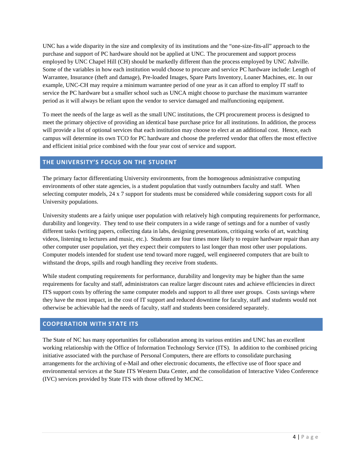UNC has a wide disparity in the size and complexity of its institutions and the "one-size-fits-all" approach to the purchase and support of PC hardware should not be applied at UNC. The procurement and support process employed by UNC Chapel Hill (CH) should be markedly different than the process employed by UNC Ashville. Some of the variables in how each institution would choose to procure and service PC hardware include: Length of Warrantee, Insurance (theft and damage), Pre-loaded Images, Spare Parts Inventory, Loaner Machines, etc. In our example, UNC-CH may require a minimum warrantee period of one year as it can afford to employ IT staff to service the PC hardware but a smaller school such as UNCA might choose to purchase the maximum warrantee period as it will always be reliant upon the vendor to service damaged and malfunctioning equipment.

To meet the needs of the large as well as the small UNC institutions, the CPI procurement process is designed to meet the primary objective of providing an identical base purchase price for all institutions. In addition, the process will provide a list of optional services that each institution may choose to elect at an additional cost. Hence, each campus will determine its own TCO for PC hardware and choose the preferred vendor that offers the most effective and efficient initial price combined with the four year cost of service and support.

## <span id="page-3-0"></span>**THE UNIVERSITY'S FOCUS ON THE STUDENT**

The primary factor differentiating University environments, from the homogenous administrative computing environments of other state agencies, is a student population that vastly outnumbers faculty and staff. When selecting computer models, 24 x 7 support for students must be considered while considering support costs for all University populations.

University students are a fairly unique user population with relatively high computing requirements for performance, durability and longevity. They tend to use their computers in a wide range of settings and for a number of vastly different tasks (writing papers, collecting data in labs, designing presentations, critiquing works of art, watching videos, listening to lectures and music, etc.). Students are four times more likely to require hardware repair than any other computer user population, yet they expect their computers to last longer than most other user populations. Computer models intended for student use tend toward more rugged, well engineered computers that are built to withstand the drops, spills and rough handling they receive from students.

While student computing requirements for performance, durability and longevity may be higher than the same requirements for faculty and staff, administrators can realize larger discount rates and achieve efficiencies in direct ITS support costs by offering the same computer models and support to all three user groups. Costs savings where they have the most impact, in the cost of IT support and reduced downtime for faculty, staff and students would not otherwise be achievable had the needs of faculty, staff and students been considered separately.

## <span id="page-3-1"></span>**COOPERATION WITH STATE ITS**

The State of NC has many opportunities for collaboration among its various entities and UNC has an excellent working relationship with the Office of Information Technology Service (ITS). In addition to the combined pricing initiative associated with the purchase of Personal Computers, there are efforts to consolidate purchasing arrangements for the archiving of e-Mail and other electronic documents, the effective use of floor space and environmental services at the State ITS Western Data Center, and the consolidation of Interactive Video Conference (IVC) services provided by State ITS with those offered by MCNC.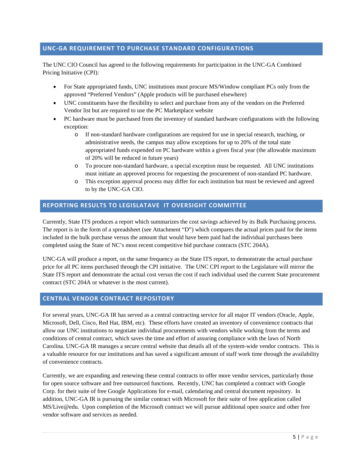## <span id="page-4-0"></span>**UNC-GA REQUIREMENT TO PURCHASE STANDARD CONFIGURATIONS**

The UNC CIO Council has agreed to the following requirements for participation in the UNC-GA Combined Pricing Initiative (CPI):

- For State appropriated funds, UNC institutions must procure MS/Window compliant PCs only from the approved "Preferred Vendors" (Apple products will be purchased elsewhere)
- UNC constituents have the flexibility to select and purchase from any of the vendors on the Preferred Vendor list but are required to use the PC Marketplace website
- PC hardware must be purchased from the inventory of standard hardware configurations with the following exception:
	- o If non-standard hardware configurations are required for use in special research, teaching, or administrative needs, the campus may allow exceptions for up to 20% of the total state appropriated funds expended on PC hardware within a given fiscal year (the allowable maximum of 20% will be reduced in future years)
	- o To procure non-standard hardware, a special exception must be requested. All UNC institutions must initiate an approved process for requesting the procurement of non-standard PC hardware.
	- o This exception approval process may differ for each institution but must be reviewed and agreed to by the UNC-GA CIO.

## <span id="page-4-1"></span>**REPORTING RESULTS TO LEGISLATAVE IT OVERSIGHT COMMITTEE**

Currently, State ITS produces a report which summarizes the cost savings achieved by its Bulk Purchasing process. The report is in the form of a spreadsheet (see Attachment "D") which compares the actual prices paid for the items included in the bulk purchase versus the amount that would have been paid had the individual purchases been completed using the State of NC's most recent competitive bid purchase contracts (STC 204A).

UNC-GA will produce a report, on the same frequency as the State ITS report, to demonstrate the actual purchase price for all PC items purchased through the CPI initiative. The UNC CPI report to the Legislature will mirror the State ITS report and demonstrate the actual cost versus the cost if each individual used the current State procurement contract (STC 204A or whatever is the most current).

## <span id="page-4-2"></span>**CENTRAL VENDOR CONTRACT REPOSITORY**

For several years, UNC-GA IR has served as a central contracting service for all major IT vendors (Oracle, Apple, Microsoft, Dell, Cisco, Red Hat, IBM, etc). These efforts have created an inventory of convenience contracts that allow our UNC institutions to negotiate individual procurements with vendors while working from the terms and conditions of central contract, which saves the time and effort of assuring compliance with the laws of North Carolina. UNC-GA IR manages a secure central website that details all of the system-wide vendor contracts. This is a valuable resource for our institutions and has saved a significant amount of staff work time through the availability of convenience contracts.

Currently, we are expanding and renewing these central contracts to offer more vendor services, particularly those for open source software and free outsourced functions. Recently, UNC has completed a contract with Google Corp. for their suite of free Google Applications for e-mail, calendaring and central document repository. In addition, UNC-GA IR is pursuing the similar contract with Microsoft for their suite of free application called MS/Live@edu. Upon completion of the Microsoft contract we will pursue additional open source and other free vendor software and services as needed.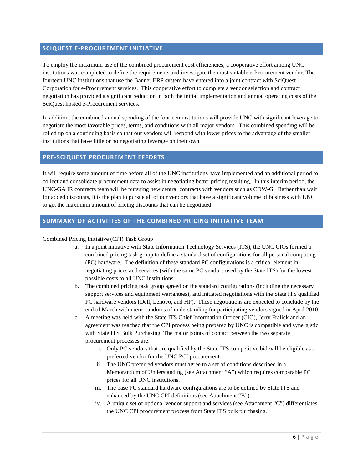## <span id="page-5-0"></span>**SCIQUEST E-PROCUREMENT INITIATIVE**

To employ the maximum use of the combined procurement cost efficiencies, a cooperative effort among UNC institutions was completed to define the requirements and investigate the most suitable e-Procurement vendor. The fourteen UNC institutions that use the Banner ERP system have entered into a joint contract with SciQuest Corporation for e-Procurement services. This cooperative effort to complete a vendor selection and contract negotiation has provided a significant reduction in both the initial implementation and annual operating costs of the SciQuest hosted e-Procurement services.

In addition, the combined annual spending of the fourteen institutions will provide UNC with significant leverage to negotiate the most favorable prices, terms, and conditions with all major vendors. This combined spending will be rolled up on a continuing basis so that our vendors will respond with lower prices to the advantage of the smaller institutions that have little or no negotiating leverage on their own.

## <span id="page-5-1"></span>**PRE-SCIQUEST PROCUREMENT EFFORTS**

It will require some amount of time before all of the UNC institutions have implemented and an additional period to collect and consolidate procurement data to assist in negotiating better pricing resulting. In this interim period, the UNC-GA IR contracts team will be pursuing new central contracts with vendors such as CDW-G. Rather than wait for added discounts, it is the plan to pursue all of our vendors that have a significant volume of business with UNC to get the maximum amount of pricing discounts that can be negotiated.

## <span id="page-5-2"></span>**SUMMARY OF ACTIVITIES OF THE COMBINED PRICING INITIATIVE TEAM**

## Combined Pricing Initiative (CPI) Task Group

- a. In a joint initiative with State Information Technology Services (ITS), the UNC CIOs formed a combined pricing task group to define a standard set of configurations for all personal computing (PC) hardware. The definition of these standard PC configurations is a critical element in negotiating prices and services (with the same PC vendors used by the State ITS) for the lowest possible costs to all UNC institutions.
- b. The combined pricing task group agreed on the standard configurations (including the necessary support services and equipment warrantees), and initiated negotiations with the State ITS qualified PC hardware vendors (Dell, Lenovo, and HP). These negotiations are expected to conclude by the end of March with memorandums of understanding for participating vendors signed in April 2010.
- c. A meeting was held with the State ITS Chief Information Officer (CIO), Jerry Fralick and an agreement was reached that the CPI process being prepared by UNC is compatible and synergistic with State ITS Bulk Purchasing. The major points of contact between the two separate procurement processes are:
	- i. Only PC vendors that are qualified by the State ITS competitive bid will be eligible as a preferred vendor for the UNC PCI procurement.
	- ii. The UNC preferred vendors must agree to a set of conditions described in a Memorandum of Understanding (see Attachment "A") which requires comparable PC prices for all UNC institutions.
	- iii. The base PC standard hardware configurations are to be defined by State ITS and enhanced by the UNC CPI definitions (see Attachment "B").
	- iv. A unique set of optional vendor support and services (see Attachment "C") differentiates the UNC CPI procurement process from State ITS bulk purchasing.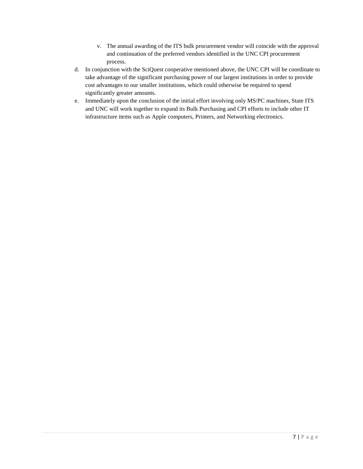- v. The annual awarding of the ITS bulk procurement vendor will coincide with the approval and continuation of the preferred vendors identified in the UNC CPI procurement process.
- d. In conjunction with the SciQuest cooperative mentioned above, the UNC CPI will be coordinate to take advantage of the significant purchasing power of our largest institutions in order to provide cost advantages to our smaller institutions, which could otherwise be required to spend significantly greater amounts.
- e. Immediately upon the conclusion of the initial effort involving only MS/PC machines, State ITS and UNC will work together to expand its Bulk Purchasing and CPI efforts to include other IT infrastructure items such as Apple computers, Printers, and Networking electronics.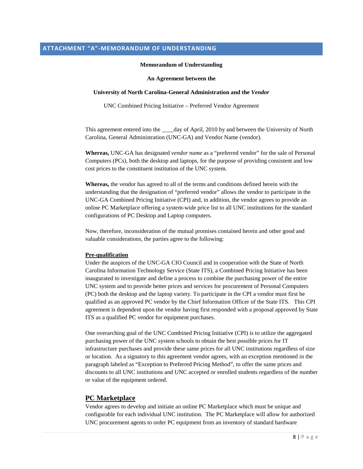#### **Memorandum of Understanding**

#### **An Agreement between the**

#### <span id="page-7-0"></span>**University of North Carolina-General Administration and the** *Vendor*

UNC Combined Pricing Initiative – Preferred Vendor Agreement

This agreement entered into the day of April, 2010 by and between the University of North Carolina, General Administration (UNC-GA) and Vendor Name (vendor).

**Whereas,** UNC-GA has designated *vendor name* as a "preferred vendor" for the sale of Personal Computers (PCs), both the desktop and laptops, for the purpose of providing consistent and low cost prices to the constituent institution of the UNC system.

**Whereas,** the vendor has agreed to all of the terms and conditions defined herein with the understanding that the designation of "preferred vendor" allows the vendor to participate in the UNC-GA Combined Pricing Initiative (CPI) and, in addition, the vendor agrees to provide an online PC Marketplace offering a system-wide price list to all UNC institutions for the standard configurations of PC Desktop and Laptop computers.

Now, therefore, inconsideration of the mutual promises contained herein and other good and valuable considerations, the parties agree to the following:

#### **Pre-qualification**

Under the auspices of the UNC-GA CIO Council and in cooperation with the State of North Carolina Information Technology Service (State ITS), a Combined Pricing Initiative has been inaugurated to investigate and define a process to combine the purchasing power of the entire UNC system and to provide better prices and services for procurement of Personal Computers (PC) both the desktop and the laptop variety. To participate in the CPI a vendor must first be qualified as an approved PC vendor by the Chief Information Officer of the State ITS. This CPI agreement is dependent upon the vendor having first responded with a proposal approved by State ITS as a qualified PC vendor for equipment purchases.

One overarching goal of the UNC Combined Pricing Initiative (CPI) is to utilize the aggregated purchasing power of the UNC system schools to obtain the best possible prices for IT infrastructure purchases and provide these same prices for all UNC institutions regardless of size or location. As a signatory to this agreement vendor agrees, with an exception mentioned in the paragraph labeled as "Exception to Preferred Pricing Method", to offer the same prices and discounts to all UNC institutions and UNC accepted or enrolled students regardless of the number or value of the equipment ordered.

## **PC Marketplace**

Vendor agrees to develop and initiate an online PC Marketplace which must be unique and configurable for each individual UNC institution. The PC Marketplace will allow for authorized UNC procurement agents to order PC equipment from an inventory of standard hardware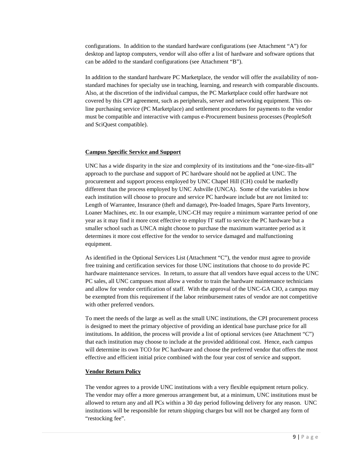configurations. In addition to the standard hardware configurations (see Attachment "A") for desktop and laptop computers, vendor will also offer a list of hardware and software options that can be added to the standard configurations (see Attachment "B").

In addition to the standard hardware PC Marketplace, the vendor will offer the availability of nonstandard machines for specialty use in teaching, learning, and research with comparable discounts. Also, at the discretion of the individual campus, the PC Marketplace could offer hardware not covered by this CPI agreement, such as peripherals, server and networking equipment. This online purchasing service (PC Marketplace) and settlement procedures for payments to the vendor must be compatible and interactive with campus e-Procurement business processes (PeopleSoft and SciQuest compatible).

#### **Campus Specific Service and Support**

UNC has a wide disparity in the size and complexity of its institutions and the "one-size-fits-all" approach to the purchase and support of PC hardware should not be applied at UNC. The procurement and support process employed by UNC Chapel Hill (CH) could be markedly different than the process employed by UNC Ashville (UNCA). Some of the variables in how each institution will choose to procure and service PC hardware include but are not limited to: Length of Warrantee, Insurance (theft and damage), Pre-loaded Images, Spare Parts Inventory, Loaner Machines, etc. In our example, UNC-CH may require a minimum warrantee period of one year as it may find it more cost effective to employ IT staff to service the PC hardware but a smaller school such as UNCA might choose to purchase the maximum warrantee period as it determines it more cost effective for the vendor to service damaged and malfunctioning equipment.

As identified in the Optional Services List (Attachment "C"), the vendor must agree to provide free training and certification services for those UNC institutions that choose to do provide PC hardware maintenance services. In return, to assure that all vendors have equal access to the UNC PC sales, all UNC campuses must allow a vendor to train the hardware maintenance technicians and allow for vendor certification of staff. With the approval of the UNC-GA CIO, a campus may be exempted from this requirement if the labor reimbursement rates of vendor are not competitive with other preferred vendors.

To meet the needs of the large as well as the small UNC institutions, the CPI procurement process is designed to meet the primary objective of providing an identical base purchase price for all institutions. In addition, the process will provide a list of optional services (see Attachment "C") that each institution may choose to include at the provided additional cost. Hence, each campus will determine its own TCO for PC hardware and choose the preferred vendor that offers the most effective and efficient initial price combined with the four year cost of service and support.

## **Vendor Return Policy**

The vendor agrees to a provide UNC institutions with a very flexible equipment return policy. The vendor may offer a more generous arrangement but, at a minimum, UNC institutions must be allowed to return any and all PCs within a 30 day period following delivery for any reason. UNC institutions will be responsible for return shipping charges but will not be charged any form of "restocking fee".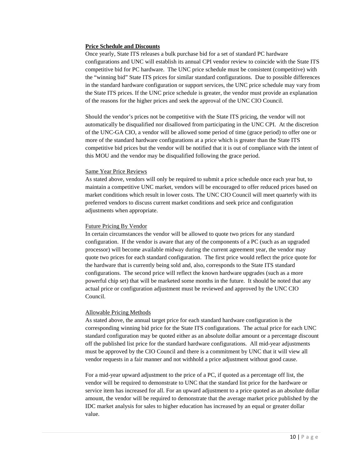#### **Price Schedule and Discounts**

Once yearly, State ITS releases a bulk purchase bid for a set of standard PC hardware configurations and UNC will establish its annual CPI vendor review to coincide with the State ITS competitive bid for PC hardware. The UNC price schedule must be consistent (competitive) with the "winning bid" State ITS prices for similar standard configurations. Due to possible differences in the standard hardware configuration or support services, the UNC price schedule may vary from the State ITS prices. If the UNC price schedule is greater, the vendor must provide an explanation of the reasons for the higher prices and seek the approval of the UNC CIO Council.

Should the vendor's prices not be competitive with the State ITS pricing, the vendor will not automatically be disqualified nor disallowed from participating in the UNC CPI. At the discretion of the UNC-GA CIO, a vendor will be allowed some period of time (grace period) to offer one or more of the standard hardware configurations at a price which is greater than the State ITS competitive bid prices but the vendor will be notified that it is out of compliance with the intent of this MOU and the vendor may be disqualified following the grace period.

#### Same Year Price Reviews

As stated above, vendors will only be required to submit a price schedule once each year but, to maintain a competitive UNC market, vendors will be encouraged to offer reduced prices based on market conditions which result in lower costs. The UNC CIO Council will meet quarterly with its preferred vendors to discuss current market conditions and seek price and configuration adjustments when appropriate.

#### Future Pricing By Vendor

In certain circumstances the vendor will be allowed to quote two prices for any standard configuration. If the vendor is aware that any of the components of a PC (such as an upgraded processor) will become available midway during the current agreement year, the vendor may quote two prices for each standard configuration. The first price would reflect the price quote for the hardware that is currently being sold and, also, corresponds to the State ITS standard configurations. The second price will reflect the known hardware upgrades (such as a more powerful chip set) that will be marketed some months in the future. It should be noted that any actual price or configuration adjustment must be reviewed and approved by the UNC CIO Council.

## Allowable Pricing Methods

As stated above, the annual target price for each standard hardware configuration is the corresponding winning bid price for the State ITS configurations. The actual price for each UNC standard configuration may be quoted either as an absolute dollar amount or a percentage discount off the published list price for the standard hardware configurations. All mid-year adjustments must be approved by the CIO Council and there is a commitment by UNC that it will view all vendor requests in a fair manner and not withhold a price adjustment without good cause.

For a mid-year upward adjustment to the price of a PC, if quoted as a percentage off list, the vendor will be required to demonstrate to UNC that the standard list price for the hardware or service item has increased for all. For an upward adjustment to a price quoted as an absolute dollar amount, the vendor will be required to demonstrate that the average market price published by the IDC market analysis for sales to higher education has increased by an equal or greater dollar value.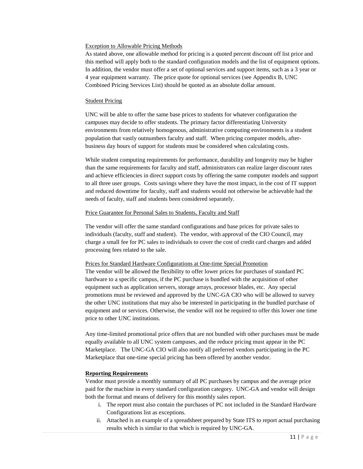#### Exception to Allowable Pricing Methods

As stated above, one allowable method for pricing is a quoted percent discount off list price and this method will apply both to the standard configuration models and the list of equipment options. In addition, the vendor must offer a set of optional services and support items, such as a 3 year or 4 year equipment warranty. The price quote for optional services (see Appendix B, UNC Combined Pricing Services List) should be quoted as an absolute dollar amount.

## **Student Pricing**

UNC will be able to offer the same base prices to students for whatever configuration the campuses may decide to offer students. The primary factor differentiating University environments from relatively homogenous, administrative computing environments is a student population that vastly outnumbers faculty and staff. When pricing computer models, afterbusiness day hours of support for students must be considered when calculating costs.

While student computing requirements for performance, durability and longevity may be higher than the same requirements for faculty and staff, administrators can realize larger discount rates and achieve efficiencies in direct support costs by offering the same computer models and support to all three user groups. Costs savings where they have the most impact, in the cost of IT support and reduced downtime for faculty, staff and students would not otherwise be achievable had the needs of faculty, staff and students been considered separately.

## Price Guarantee for Personal Sales to Students, Faculty and Staff

The vendor will offer the same standard configurations and base prices for private sales to individuals (faculty, staff and student). The vendor, with approval of the CIO Council, may charge a small fee for PC sales to individuals to cover the cost of credit card charges and added processing fees related to the sale.

## Prices for Standard Hardware Configurations at One-time Special Promotion

The vendor will be allowed the flexibility to offer lower prices for purchases of standard PC hardware to a specific campus, if the PC purchase is bundled with the acquisition of other equipment such as application servers, storage arrays, processor blades, etc. Any special promotions must be reviewed and approved by the UNC-GA CIO who will be allowed to survey the other UNC institutions that may also be interested in participating in the bundled purchase of equipment and or services. Otherwise, the vendor will not be required to offer this lower one time price to other UNC institutions.

Any time-limited promotional price offers that are not bundled with other purchases must be made equally available to all UNC system campuses, and the reduce pricing must appear in the PC Marketplace. The UNC-GA CIO will also notify all preferred vendors participating in the PC Marketplace that one-time special pricing has been offered by another vendor.

## **Reporting Requirements**

Vendor must provide a monthly summary of all PC purchases by campus and the average price paid for the machine in every standard configuration category. UNC-GA and vendor will design both the format and means of delivery for this monthly sales report.

- i. The report must also contain the purchases of PC not included in the Standard Hardware Configurations list as exceptions.
- ii. Attached is an example of a spreadsheet prepared by State ITS to report actual purchasing results which is similar to that which is required by UNC-GA.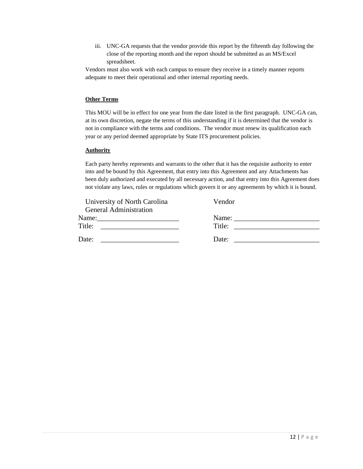iii. UNC-GA requests that the vendor provide this report by the fifteenth day following the close of the reporting month and the report should be submitted as an MS/Excel spreadsheet.

Vendors must also work with each campus to ensure they receive in a timely manner reports adequate to meet their operational and other internal reporting needs.

## **Other Terms**

This MOU will be in effect for one year from the date listed in the first paragraph. UNC-GA can, at its own discretion, negate the terms of this understanding if it is determined that the vendor is not in compliance with the terms and conditions. The vendor must renew its qualification each year or any period deemed appropriate by State ITS procurement policies.

## **Authority**

Each party hereby represents and warrants to the other that it has the requisite authority to enter into and be bound by this Agreement, that entry into this Agreement and any Attachments has been duly authorized and executed by all necessary action, and that entry into this Agreement does not violate any laws, rules or regulations which govern it or any agreements by which it is bound.

| University of North Carolina  | Vendor |
|-------------------------------|--------|
| <b>General Administration</b> |        |
| Name:                         | Name:  |
| Title:                        | Title: |
| Date:                         | Date:  |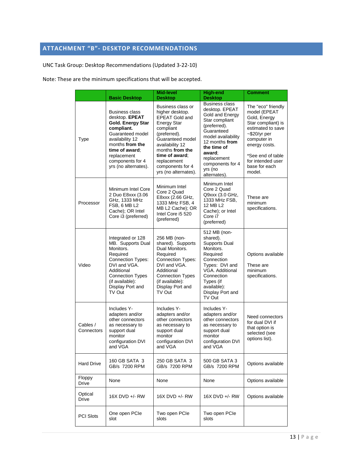# <span id="page-12-0"></span>**ATTACHMENT "B"- DESKTOP RECOMMENDATIONS**

UNC Task Group: Desktop Recommendations (Updated 3-22-10)

Note: These are the minimum specifications that will be accepted.

|                         | <b>Basic Desktop</b>                                                                                                                                                                                              | Mid-level<br><b>Desktop</b>                                                                                                                                                                                                                             | <b>High-end</b><br><b>Desktop</b>                                                                                                                                                                                                         | <b>Comment</b>                                                                                                                                                                                                           |  |
|-------------------------|-------------------------------------------------------------------------------------------------------------------------------------------------------------------------------------------------------------------|---------------------------------------------------------------------------------------------------------------------------------------------------------------------------------------------------------------------------------------------------------|-------------------------------------------------------------------------------------------------------------------------------------------------------------------------------------------------------------------------------------------|--------------------------------------------------------------------------------------------------------------------------------------------------------------------------------------------------------------------------|--|
| Type                    | <b>Business class</b><br>desktop. EPEAT<br>Gold. Energy Star<br>compliant.<br>Guaranteed model<br>availability 12<br>months from the<br>time of award:<br>replacement<br>components for 4<br>yrs (no alternates). | Business class or<br>higher desktop.<br><b>EPEAT Gold and</b><br><b>Energy Star</b><br>compliant<br>(preferred).<br>Guaranteed model<br>availability 12<br>months from the<br>time of award:<br>replacement<br>components for 4<br>yrs (no alternates). | <b>Business class</b><br>desktop. EPEAT<br>Gold and Energy<br>Star compliant<br>(preferred).<br>Guaranteed<br>model availability<br>12 months from<br>the time of<br>award:<br>replacement<br>components for 4<br>yrs (no<br>alternates). | The "eco" friendly<br>model (EPEAT<br>Gold, Energy<br>Star compliant) is<br>estimated to save<br>$\sim$ \$20/yr per<br>computer in<br>energy costs.<br>*See end of table<br>for intended user<br>base for each<br>model. |  |
| Processor               | Minimum Intel Core<br>2 Duo E8xxx (3.06<br>GHz, 1333 MHz<br>FSB, 6 MB L2<br>Cache); OR Intel<br>Core i3 (preferred)                                                                                               | Minimum Intel<br>Core 2 Quad<br>E8xxx (2.66 GHz,<br>1333 MHz FSB, 4<br>MB L2 Cache); OR<br>Intel Core i5 520<br>(preferred)                                                                                                                             | Minimum Intel<br>Core 2 Quad<br>Q9xxx (3.0 GHz,<br>1333 MHz FSB,<br>12 MB L2<br>Cache); or Intel<br>Core i7<br>(preferred)                                                                                                                | These are<br>minimum<br>specifications.                                                                                                                                                                                  |  |
| Video                   | Integrated or 128<br>MB. Supports Dual<br>Monitors.<br>Required<br>Connection Types:<br>DVI and VGA.<br>Additional<br><b>Connection Types</b><br>(if available):<br>Display Port and<br>TV Out                    | 256 MB (non-<br>shared). Supports<br>Dual Monitors.<br>Required<br><b>Connection Types:</b><br>DVI and VGA.<br>Additional<br><b>Connection Types</b><br>(if available):<br>Display Port and<br>TV Out                                                   | 512 MB (non-<br>shared).<br><b>Supports Dual</b><br>Monitors.<br>Required<br>Connection<br>Types: DVI and<br>VGA. Additional<br>Connection<br>Types (if<br>available):<br>Display Port and<br>TV Out                                      | Options available<br>These are<br>minimum<br>specifications.                                                                                                                                                             |  |
| Cables /<br>Connectors  | Includes Y-<br>adapters and/or<br>other connectors<br>as necessary to<br>support dual<br>monitor<br>configuration DVI<br>and VGA                                                                                  | Includes Y-<br>adapters and/or<br>other connectors<br>as necessary to<br>support dual<br>monitor<br>configuration DVI<br>and VGA                                                                                                                        | Includes Y-<br>adapters and/or<br>other connectors<br>as necessary to<br>support dual<br>monitor<br>configuration DVI<br>and VGA                                                                                                          | Need connectors<br>for dual DVI if<br>that option is<br>selected (see<br>options list).                                                                                                                                  |  |
| <b>Hard Drive</b>       | 160 GB SATA 3<br>GB/s 7200 RPM                                                                                                                                                                                    | 250 GB SATA 3<br>GB/s 7200 RPM                                                                                                                                                                                                                          | 500 GB SATA 3<br>GB/s 7200 RPM                                                                                                                                                                                                            | Options available                                                                                                                                                                                                        |  |
| Floppy<br><b>Drive</b>  | None                                                                                                                                                                                                              | None                                                                                                                                                                                                                                                    | None                                                                                                                                                                                                                                      | Options available                                                                                                                                                                                                        |  |
| Optical<br><b>Drive</b> | 16X DVD +/- RW                                                                                                                                                                                                    | 16X DVD +/- RW                                                                                                                                                                                                                                          | 16X DVD +/- RW                                                                                                                                                                                                                            | Options available                                                                                                                                                                                                        |  |
| <b>PCI Slots</b>        | One open PCIe<br>slot                                                                                                                                                                                             | Two open PCIe<br>slots                                                                                                                                                                                                                                  | Two open PCIe<br>slots                                                                                                                                                                                                                    |                                                                                                                                                                                                                          |  |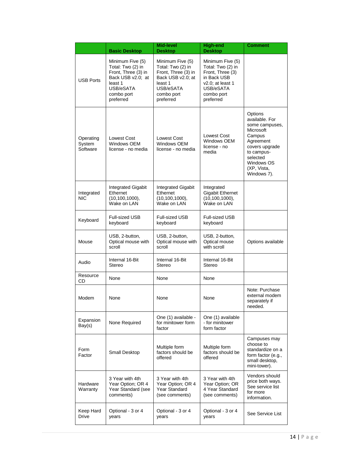|                                 | <b>Basic Desktop</b>                                                                                                                 | Mid-level<br><b>Desktop</b>                                                                                                          | <b>High-end</b><br><b>Desktop</b>                                                                                                       | Comment                                                                                                                                                                 |  |
|---------------------------------|--------------------------------------------------------------------------------------------------------------------------------------|--------------------------------------------------------------------------------------------------------------------------------------|-----------------------------------------------------------------------------------------------------------------------------------------|-------------------------------------------------------------------------------------------------------------------------------------------------------------------------|--|
| <b>USB Ports</b>                | Minimum Five (5)<br>Total: Two (2) in<br>Front, Three (3) in<br>Back USB v2.0; at<br>least 1<br>USB/eSATA<br>combo port<br>preferred | Minimum Five (5)<br>Total: Two (2) in<br>Front, Three (3) in<br>Back USB v2.0; at<br>least 1<br>USB/eSATA<br>combo port<br>preferred | Minimum Five (5)<br>Total: Two (2) in<br>Front, Three (3)<br>in Back USB<br>$v2.0$ ; at least 1<br>USB/eSATA<br>combo port<br>preferred |                                                                                                                                                                         |  |
| Operating<br>System<br>Software | Lowest Cost<br>Windows OEM<br>license - no media                                                                                     | Lowest Cost<br>Windows OEM<br>license - no media                                                                                     | Lowest Cost<br>Windows OEM<br>license - no<br>media                                                                                     | Options<br>available. For<br>some campuses.<br>Microsoft<br>Campus<br>Agreement<br>covers upgrade<br>to campus-<br>selected<br>Windows OS<br>(XP, Vista,<br>Windows 7). |  |
| Integrated<br>NIC               | <b>Integrated Gigabit</b><br>Ethernet<br>$(10, 100, 1000)$ ,<br>Wake on LAN                                                          | Integrated Gigabit<br>Ethernet<br>$(10, 100, 1000)$ ,<br>Wake on LAN                                                                 | Integrated<br><b>Gigabit Ethernet</b><br>(10, 100, 1000),<br>Wake on LAN                                                                |                                                                                                                                                                         |  |
| Keyboard                        | Full-sized USB<br>keyboard                                                                                                           | <b>Full-sized USB</b><br>keyboard                                                                                                    | Full-sized USB<br>keyboard                                                                                                              |                                                                                                                                                                         |  |
| Mouse                           | USB, 2-button,<br>Optical mouse with<br>scroll                                                                                       | USB, 2-button,<br>Optical mouse with<br>scroll                                                                                       | USB, 2-button,<br>Optical mouse<br>with scroll                                                                                          | Options available                                                                                                                                                       |  |
| Audio                           | Internal 16-Bit<br>Stereo                                                                                                            | Internal 16-Bit<br>Stereo                                                                                                            | Internal 16-Bit<br>Stereo                                                                                                               |                                                                                                                                                                         |  |
| Resource<br>CD                  | None                                                                                                                                 | None                                                                                                                                 | None                                                                                                                                    |                                                                                                                                                                         |  |
| Modem                           | None                                                                                                                                 | None                                                                                                                                 | None                                                                                                                                    | Note: Purchase<br>external modem<br>separately if<br>needed.                                                                                                            |  |
| Expansion<br>Bay(s)             | None Required                                                                                                                        | One (1) available -<br>for minitower form<br>factor                                                                                  | One (1) available<br>- for minitower<br>form factor                                                                                     |                                                                                                                                                                         |  |
| Form<br>Factor                  | Small Desktop                                                                                                                        | Multiple form<br>factors should be<br>offered                                                                                        | Multiple form<br>factors should be<br>offered                                                                                           | Campuses may<br>choose to<br>standardize on a<br>form factor (e.g.,<br>small desktop,<br>mini-tower).                                                                   |  |
| Hardware<br>Warranty            | 3 Year with 4th<br>Year Option; OR 4<br>Year Standard (see<br>comments)                                                              | 3 Year with 4th<br>Year Option; OR 4<br>Year Standard<br>(see comments)                                                              | 3 Year with 4th<br>Year Option; OR<br>4 Year Standard<br>(see comments)                                                                 | Vendors should<br>price both ways.<br>See service list<br>for more<br>information.                                                                                      |  |
| Keep Hard<br>Drive              | Optional - 3 or 4<br>years                                                                                                           | Optional - 3 or 4<br>years                                                                                                           | Optional - 3 or 4<br>years                                                                                                              | See Service List                                                                                                                                                        |  |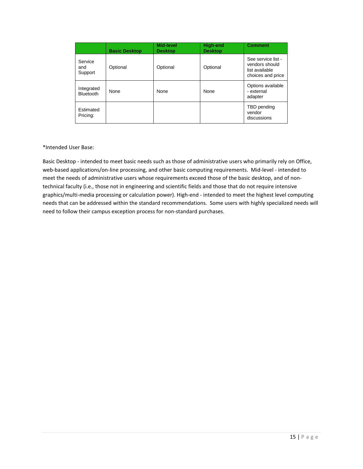|                                | <b>Basic Desktop</b> | <b>Mid-level</b><br><b>Desktop</b> | <b>High-end</b><br><b>Desktop</b> | <b>Comment</b>                                                              |
|--------------------------------|----------------------|------------------------------------|-----------------------------------|-----------------------------------------------------------------------------|
| Service<br>and<br>Support      | Optional             | Optional                           | Optional                          | See service list -<br>vendors should<br>list available<br>choices and price |
| Integrated<br><b>Bluetooth</b> | None                 | None                               | None                              | Options available<br>- external<br>adapter                                  |
| Estimated<br>Pricing:          |                      |                                    |                                   | TBD pending<br>vendor<br>discussions                                        |

\*Intended User Base:

Basic Desktop - intended to meet basic needs such as those of administrative users who primarily rely on Office, web-based applications/on-line processing, and other basic computing requirements. Mid-level - intended to meet the needs of administrative users whose requirements exceed those of the basic desktop, and of nontechnical faculty (i.e., those not in engineering and scientific fields and those that do not require intensive graphics/multi-media processing or calculation power). High-end - intended to meet the highest level computing needs that can be addressed within the standard recommendations. Some users with highly specialized needs will need to follow their campus exception process for non-standard purchases.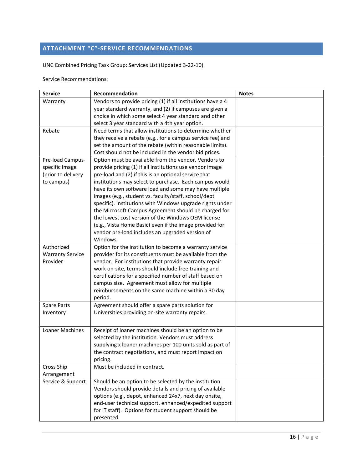# <span id="page-15-0"></span>**ATTACHMENT "C"-SERVICE RECOMMENDATIONS**

UNC Combined Pricing Task Group: Services List (Updated 3-22-10)

Service Recommendations:

| <b>Service</b>          | Recommendation                                                                                                  | <b>Notes</b> |
|-------------------------|-----------------------------------------------------------------------------------------------------------------|--------------|
| Warranty                | Vendors to provide pricing (1) if all institutions have a 4                                                     |              |
|                         | year standard warranty, and (2) if campuses are given a                                                         |              |
|                         | choice in which some select 4 year standard and other                                                           |              |
|                         | select 3 year standard with a 4th year option.                                                                  |              |
| Rebate                  | Need terms that allow institutions to determine whether                                                         |              |
|                         | they receive a rebate (e.g., for a campus service fee) and                                                      |              |
|                         | set the amount of the rebate (within reasonable limits).                                                        |              |
|                         | Cost should not be included in the vendor bid prices.                                                           |              |
| Pre-load Campus-        | Option must be available from the vendor. Vendors to                                                            |              |
| specific Image          | provide pricing (1) if all institutions use vendor image                                                        |              |
| (prior to delivery      | pre-load and (2) if this is an optional service that                                                            |              |
| to campus)              | institutions may select to purchase. Each campus would                                                          |              |
|                         | have its own software load and some may have multiple                                                           |              |
|                         | images (e.g., student vs. faculty/staff, school/dept                                                            |              |
|                         | specific). Institutions with Windows upgrade rights under                                                       |              |
|                         | the Microsoft Campus Agreement should be charged for                                                            |              |
|                         | the lowest cost version of the Windows OEM license                                                              |              |
|                         | (e.g., Vista Home Basic) even if the image provided for                                                         |              |
|                         | vendor pre-load includes an upgraded version of                                                                 |              |
|                         | Windows.                                                                                                        |              |
| Authorized              | Option for the institution to become a warranty service                                                         |              |
| <b>Warranty Service</b> | provider for its constituents must be available from the                                                        |              |
| Provider                | vendor. For institutions that provide warranty repair                                                           |              |
|                         | work on-site, terms should include free training and<br>certifications for a specified number of staff based on |              |
|                         | campus size. Agreement must allow for multiple                                                                  |              |
|                         | reimbursements on the same machine within a 30 day                                                              |              |
|                         | period.                                                                                                         |              |
| <b>Spare Parts</b>      | Agreement should offer a spare parts solution for                                                               |              |
| Inventory               | Universities providing on-site warranty repairs.                                                                |              |
|                         |                                                                                                                 |              |
| Loaner Machines         | Receipt of loaner machines should be an option to be                                                            |              |
|                         | selected by the institution. Vendors must address                                                               |              |
|                         | supplying x loaner machines per 100 units sold as part of                                                       |              |
|                         | the contract negotiations, and must report impact on                                                            |              |
|                         | pricing.                                                                                                        |              |
| Cross Ship              | Must be included in contract.                                                                                   |              |
| Arrangement             |                                                                                                                 |              |
| Service & Support       | Should be an option to be selected by the institution.                                                          |              |
|                         | Vendors should provide details and pricing of available                                                         |              |
|                         | options (e.g., depot, enhanced 24x7, next day onsite,                                                           |              |
|                         | end-user technical support, enhanced/expedited support                                                          |              |
|                         | for IT staff). Options for student support should be                                                            |              |
|                         | presented.                                                                                                      |              |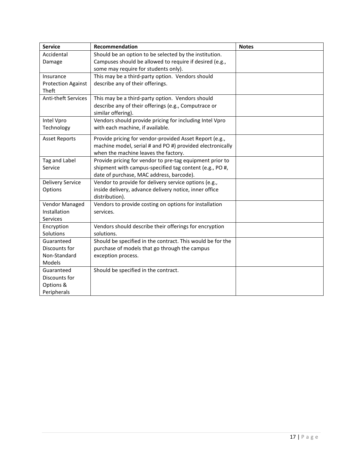| <b>Service</b>             | Recommendation                                             | <b>Notes</b> |
|----------------------------|------------------------------------------------------------|--------------|
| Accidental                 | Should be an option to be selected by the institution.     |              |
| Damage                     | Campuses should be allowed to require if desired (e.g.,    |              |
|                            | some may require for students only).                       |              |
| Insurance                  | This may be a third-party option. Vendors should           |              |
| <b>Protection Against</b>  | describe any of their offerings.                           |              |
| Theft                      |                                                            |              |
| <b>Anti-theft Services</b> | This may be a third-party option. Vendors should           |              |
|                            | describe any of their offerings (e.g., Computrace or       |              |
|                            | similar offering).                                         |              |
| Intel Vpro                 | Vendors should provide pricing for including Intel Vpro    |              |
| Technology                 | with each machine, if available.                           |              |
| <b>Asset Reports</b>       | Provide pricing for vendor-provided Asset Report (e.g.,    |              |
|                            | machine model, serial # and PO #) provided electronically  |              |
|                            | when the machine leaves the factory.                       |              |
| Tag and Label              | Provide pricing for vendor to pre-tag equipment prior to   |              |
| Service                    | shipment with campus-specified tag content (e.g., PO #,    |              |
|                            | date of purchase, MAC address, barcode).                   |              |
| <b>Delivery Service</b>    | Vendor to provide for delivery service options (e.g.,      |              |
| Options                    | inside delivery, advance delivery notice, inner office     |              |
|                            | distribution).                                             |              |
| Vendor Managed             | Vendors to provide costing on options for installation     |              |
| Installation               | services.                                                  |              |
| Services                   |                                                            |              |
| Encryption                 | Vendors should describe their offerings for encryption     |              |
| Solutions                  | solutions.                                                 |              |
| Guaranteed                 | Should be specified in the contract. This would be for the |              |
| Discounts for              | purchase of models that go through the campus              |              |
| Non-Standard               | exception process.                                         |              |
| Models                     |                                                            |              |
| Guaranteed                 | Should be specified in the contract.                       |              |
| Discounts for              |                                                            |              |
| Options &                  |                                                            |              |
| Peripherals                |                                                            |              |